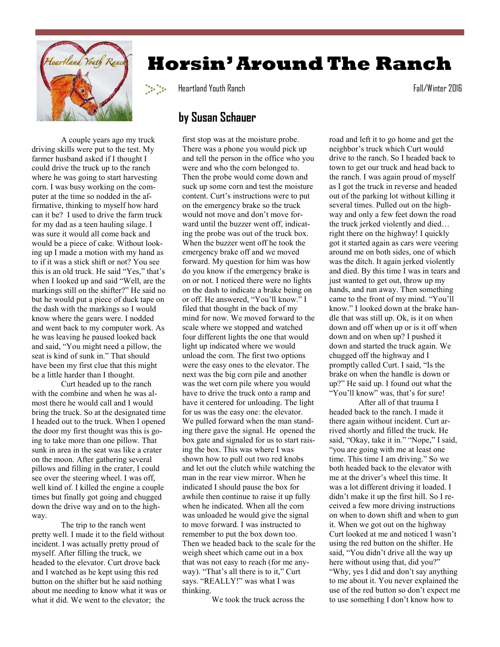

 A couple years ago my truck driving skills were put to the test. My farmer husband asked if I thought I could drive the truck up to the ranch where he was going to start harvesting corn. I was busy working on the computer at the time so nodded in the affirmative, thinking to myself how hard can it be? I used to drive the farm truck for my dad as a teen hauling silage. I was sure it would all come back and would be a piece of cake. Without looking up I made a motion with my hand as to if it was a stick shift or not? You see this is an old truck. He said "Yes," that's when I looked up and said "Well, are the markings still on the shifter?" He said no but he would put a piece of duck tape on the dash with the markings so I would know where the gears were. I nodded and went back to my computer work. As he was leaving he paused looked back and said, "You might need a pillow, the seat is kind of sunk in." That should have been my first clue that this might be a little harder than I thought.

 Curt headed up to the ranch with the combine and when he was almost there he would call and I would bring the truck. So at the designated time I headed out to the truck. When I opened the door my first thought was this is going to take more than one pillow. That sunk in area in the seat was like a crater on the moon. After gathering several pillows and filling in the crater, I could see over the steering wheel. I was off, well kind of. I killed the engine a couple times but finally got going and chugged down the drive way and on to the highway.

 The trip to the ranch went pretty well. I made it to the field without incident. I was actually pretty proud of myself. After filling the truck, we headed to the elevator. Curt drove back and I watched as he kept using this red button on the shifter but he said nothing about me needing to know what it was or what it did. We went to the elevator; the

## **Horsin' Around The Ranch**

Heartland Youth Ranch Fall/Winter 2016

## **by Susan Schauer**

first stop was at the moisture probe. There was a phone you would pick up and tell the person in the office who you were and who the corn belonged to. Then the probe would come down and suck up some corn and test the moisture content. Curt's instructions were to put on the emergency brake so the truck would not move and don't move forward until the buzzer went off, indicating the probe was out of the truck box. When the buzzer went off he took the emergency brake off and we moved forward. My question for him was how do you know if the emergency brake is on or not. I noticed there were no lights on the dash to indicate a brake being on or off. He answered, "You'll know." I filed that thought in the back of my mind for now. We moved forward to the scale where we stopped and watched four different lights the one that would light up indicated where we would unload the corn. The first two options were the easy ones to the elevator. The next was the big corn pile and another was the wet corn pile where you would have to drive the truck onto a ramp and have it centered for unloading. The light for us was the easy one: the elevator. We pulled forward when the man standing there gave the signal. He opened the box gate and signaled for us to start raising the box. This was where I was shown how to pull out two red knobs and let out the clutch while watching the man in the rear view mirror. When he indicated I should pause the box for awhile then continue to raise it up fully when he indicated. When all the corn was unloaded he would give the signal to move forward. I was instructed to remember to put the box down too. Then we headed back to the scale for the weigh sheet which came out in a box that was not easy to reach (for me anyway). "That's all there is to it," Curt says. "REALLY!" was what I was thinking.

We took the truck across the

road and left it to go home and get the neighbor's truck which Curt would drive to the ranch. So I headed back to town to get our truck and head back to the ranch. I was again proud of myself as I got the truck in reverse and headed out of the parking lot without killing it several times. Pulled out on the highway and only a few feet down the road the truck jerked violently and died… right there on the highway! I quickly got it started again as cars were veering around me on both sides, one of which was the ditch. It again jerked violently and died. By this time I was in tears and just wanted to get out, throw up my hands, and run away. Then something came to the front of my mind. "You'll know." I looked down at the brake handle that was still up. Ok, is it on when down and off when up or is it off when down and on when up? I pushed it down and started the truck again. We chugged off the highway and I promptly called Curt. I said, "Is the brake on when the handle is down or up?" He said up. I found out what the "You'll know" was, that's for sure!

 After all of that trauma I headed back to the ranch. I made it there again without incident. Curt arrived shortly and filled the truck. He said, "Okay, take it in." "Nope," I said, "you are going with me at least one time. This time I am driving." So we both headed back to the elevator with me at the driver's wheel this time. It was a lot different driving it loaded. I didn't make it up the first hill. So I received a few more driving instructions on when to down shift and when to gun it. When we got out on the highway Curt looked at me and noticed I wasn't using the red button on the shifter. He said, "You didn't drive all the way up here without using that, did you?" "Why, yes I did and don't say anything to me about it. You never explained the use of the red button so don't expect me to use something I don't know how to